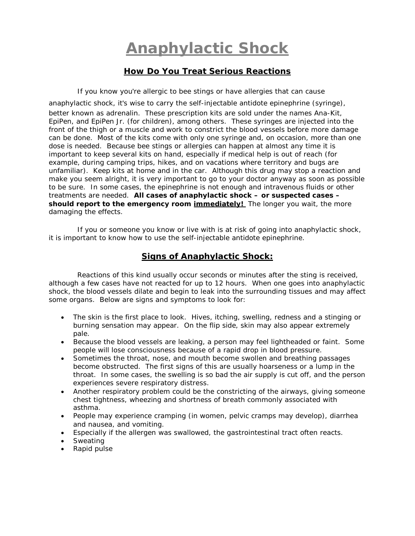## **Anaphylactic Shock**

## **How Do You Treat Serious Reactions**

If you know you're allergic to bee stings or have allergies that can cause

anaphylactic shock, it's wise to carry the self-injectable antidote epinephrine (syringe), better known as adrenalin. These prescription kits are sold under the names Ana-Kit, EpiPen, and EpiPen Jr. (for children), among others. These syringes are injected into the front of the thigh or a muscle and work to constrict the blood vessels before more damage can be done. Most of the kits come with only one syringe and, on occasion, more than one dose is needed. Because bee stings or allergies can happen at almost any time it is important to keep several kits on hand, especially if medical help is out of reach (for example, during camping trips, hikes, and on vacations where territory and bugs are unfamiliar). Keep kits at home and in the car. Although this drug may stop a reaction and make you seem alright, it is very important to go to your doctor anyway as soon as possible to be sure. In some cases, the epinephrine is not enough and intravenous fluids or other treatments are needed. **All cases of anaphylactic shock – or suspected cases – should report to the emergency room immediately!** The longer you wait, the more damaging the effects.

 If you or someone you know or live with is at risk of going into anaphylactic shock, it is important to know how to use the self-injectable antidote epinephrine.

## **Signs of Anaphylactic Shock:**

 Reactions of this kind usually occur seconds or minutes after the sting is received, although a few cases have not reacted for up to 12 hours. When one goes into anaphylactic shock, the blood vessels dilate and begin to leak into the surrounding tissues and may affect some organs. Below are signs and symptoms to look for:

- The skin is the first place to look. Hives, itching, swelling, redness and a stinging or burning sensation may appear. On the flip side, skin may also appear extremely pale.
- Because the blood vessels are leaking, a person may feel lightheaded or faint. Some people will lose consciousness because of a rapid drop in blood pressure.
- Sometimes the throat, nose, and mouth become swollen and breathing passages become obstructed. The first signs of this are usually hoarseness or a lump in the throat. In some cases, the swelling is so bad the air supply is cut off, and the person experiences severe respiratory distress.
- Another respiratory problem could be the constricting of the airways, giving someone chest tightness, wheezing and shortness of breath commonly associated with asthma.
- People may experience cramping (in women, pelvic cramps may develop), diarrhea and nausea, and vomiting.
- Especially if the allergen was swallowed, the gastrointestinal tract often reacts.
- Sweating
- Rapid pulse